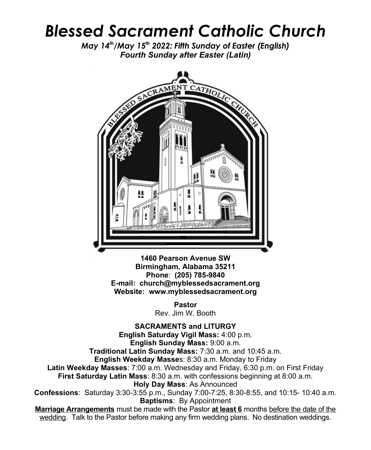## *Blessed Sacrament Catholic Church*

*May 14th/May 15th 2022: Fifth Sunday of Easter (English) Fourth Sunday after Easter (Latin)*



**1460 Pearson Avenue SW Birmingham, Alabama 35211 Phone**: **(205) 785-9840 E-mail: church@myblessedsacrament.org Website: www.myblessedsacrament.org**

> **Pastor** Rev. Jim W. Booth

**SACRAMENTS and LITURGY English Saturday Vigil Mass:** 4:00 p.m. **English Sunday Mass:** 9:00 a.m. **Traditional Latin Sunday Mass:** 7:30 a.m. and 10:45 a.m. **English Weekday Masse**s: 8:30 a.m. Monday to Friday **Latin Weekday Masses**: 7:00 a.m. Wednesday and Friday, 6:30 p.m. on First Friday **First Saturday Latin Mass**: 8:30 a.m. with confessions beginning at 8:00 a.m. **Holy Day Mass**: As Announced **Confessions**: Saturday 3:30-3:55 p.m., Sunday 7:00-7:25, 8:30-8:55, and 10:15- 10:40 a.m. **Baptisms**: By Appointment **Marriage Arrangements** must be made with the Pastor **at least 6** months before the date of the wedding. Talk to the Pastor before making any firm wedding plans. No destination weddings.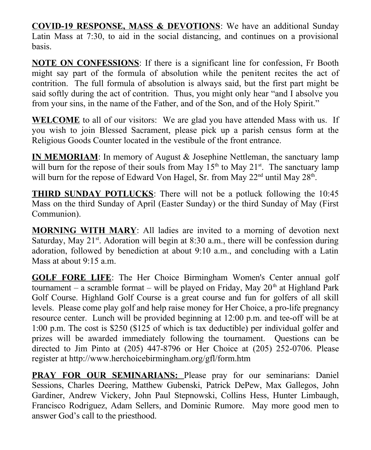**COVID-19 RESPONSE, MASS & DEVOTIONS:** We have an additional Sunday Latin Mass at 7:30, to aid in the social distancing, and continues on a provisional basis.

**NOTE ON CONFESSIONS**: If there is a significant line for confession, Fr Booth might say part of the formula of absolution while the penitent recites the act of contrition. The full formula of absolution is always said, but the first part might be said softly during the act of contrition. Thus, you might only hear "and I absolve you from your sins, in the name of the Father, and of the Son, and of the Holy Spirit."

**WELCOME** to all of our visitors: We are glad you have attended Mass with us. If you wish to join Blessed Sacrament, please pick up a parish census form at the Religious Goods Counter located in the vestibule of the front entrance.

**IN MEMORIAM**: In memory of August & Josephine Nettleman, the sanctuary lamp will burn for the repose of their souls from May  $15<sup>th</sup>$  to May  $21<sup>st</sup>$ . The sanctuary lamp will burn for the repose of Edward Von Hagel, Sr. from May  $22<sup>nd</sup>$  until May  $28<sup>th</sup>$ .

**THIRD SUNDAY POTLUCKS**: There will not be a potluck following the 10:45 Mass on the third Sunday of April (Easter Sunday) or the third Sunday of May (First Communion).

**MORNING WITH MARY**: All ladies are invited to a morning of devotion next Saturday, May  $21^{st}$ . Adoration will begin at 8:30 a.m., there will be confession during adoration, followed by benediction at about 9:10 a.m., and concluding with a Latin Mass at about 9:15 a.m.

**GOLF FORE LIFE**: The Her Choice Birmingham Women's Center annual golf tournament – a scramble format – will be played on Friday, May  $20<sup>th</sup>$  at Highland Park Golf Course. Highland Golf Course is a great course and fun for golfers of all skill levels. Please come play golf and help raise money for Her Choice, a pro-life pregnancy resource center. Lunch will be provided beginning at 12:00 p.m. and tee-off will be at 1:00 p.m. The cost is \$250 (\$125 of which is tax deductible) per individual golfer and prizes will be awarded immediately following the tournament. Questions can be directed to Jim Pinto at (205) 447-8796 or Her Choice at (205) 252-0706. Please register at http://www.herchoicebirmingham.org/gfl/form.htm

**PRAY FOR OUR SEMINARIANS:** Please pray for our seminarians: Daniel Sessions, Charles Deering, Matthew Gubenski, Patrick DePew, Max Gallegos, John Gardiner, Andrew Vickery, John Paul Stepnowski, Collins Hess, Hunter Limbaugh, Francisco Rodriguez, Adam Sellers, and Dominic Rumore. May more good men to answer God's call to the priesthood.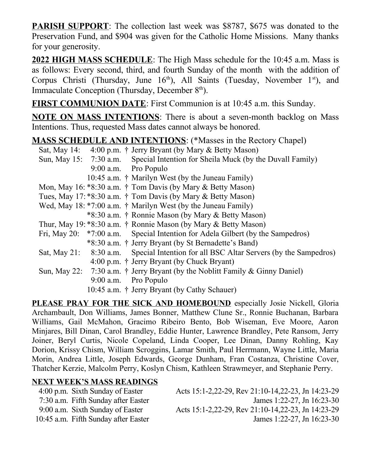**PARISH SUPPORT**: The collection last week was \$8787, \$675 was donated to the Preservation Fund, and \$904 was given for the Catholic Home Missions. Many thanks for your generosity.

**2022 HIGH MASS SCHEDULE**: The High Mass schedule for the 10:45 a.m. Mass is as follows: Every second, third, and fourth Sunday of the month with the addition of Corpus Christi (Thursday, June  $16<sup>th</sup>$ ), All Saints (Tuesday, November  $1<sup>st</sup>$ ), and Immaculate Conception (Thursday, December  $8<sup>th</sup>$ ).

**FIRST COMMUNION DATE**: First Communion is at 10:45 a.m. this Sunday.

**NOTE ON MASS INTENTIONS**: There is about a seven-month backlog on Mass Intentions. Thus, requested Mass dates cannot always be honored.

## **MASS SCHEDULE AND INTENTIONS**: (\*Masses in the Rectory Chapel)

| Sat, May 14: $4:00 \text{ p.m.}$ † Jerry Bryant (by Mary & Betty Mason)               |
|---------------------------------------------------------------------------------------|
| Sun, May 15: 7:30 a.m. Special Intention for Sheila Muck (by the Duvall Family)       |
| 9:00 a.m. Pro Populo                                                                  |
| 10:45 a.m. † Marilyn West (by the Juneau Family)                                      |
| Mon, May 16: $*8:30$ a.m. † Tom Davis (by Mary & Betty Mason)                         |
| Tues, May 17: *8:30 a.m. $\dagger$ Tom Davis (by Mary & Betty Mason)                  |
| Wed, May 18: *7:00 a.m. $\dagger$ Marilyn West (by the Juneau Family)                 |
| *8:30 a.m. † Ronnie Mason (by Mary & Betty Mason)                                     |
| Thur, May 19: *8:30 a.m. † Ronnie Mason (by Mary & Betty Mason)                       |
| Fri, May 20: *7:00 a.m. Special Intention for Adela Gilbert (by the Sampedros)        |
| *8:30 a.m. † Jerry Bryant (by St Bernadette's Band)                                   |
| Sat, May 21: 8:30 a.m. Special Intention for all BSC Altar Servers (by the Sampedros) |
| $4:00$ p.m. † Jerry Bryant (by Chuck Bryant)                                          |
| Sun, May 22: 7:30 a.m. $\dagger$ Jerry Bryant (by the Noblitt Family & Ginny Daniel)  |
| 9:00 a.m. Pro Populo                                                                  |
| 10:45 a.m. † Jerry Bryant (by Cathy Schauer)                                          |

**PLEASE PRAY FOR THE SICK AND HOMEBOUND** especially Josie Nickell, Gloria Archambault, Don Williams, James Bonner, Matthew Clune Sr., Ronnie Buchanan, Barbara Williams, Gail McMahon, Gracimo Ribeiro Bento, Bob Wiseman, Eve Moore, Aaron Minjares, Bill Dinan, Carol Brandley, Eddie Hunter, Lawrence Brandley, Pete Ransom, Jerry Joiner, Beryl Curtis, Nicole Copeland, Linda Cooper, Lee Dinan, Danny Rohling, Kay Dorion, Krissy Chism, William Scroggins, Lamar Smith, Paul Herrmann, Wayne Little, Maria Morin, Andrea Little, Joseph Edwards, George Dunham, Fran Costanza, Christine Cover, Thatcher Kerzie, Malcolm Perry, Koslyn Chism, Kathleen Strawmeyer, and Stephanie Perry.

## **NEXT WEEK'S MASS READINGS**

| 4:00 p.m. Sixth Sunday of Easter     | Acts 15:1-2,22-29, Rev 21:10-14,22-23, Jn 14:23-29 |
|--------------------------------------|----------------------------------------------------|
| 7:30 a.m. Fifth Sunday after Easter  | James 1:22-27, Jn 16:23-30                         |
| 9:00 a.m. Sixth Sunday of Easter     | Acts 15:1-2,22-29, Rev 21:10-14,22-23, Jn 14:23-29 |
| 10:45 a.m. Fifth Sunday after Easter | James 1:22-27, Jn 16:23-30                         |